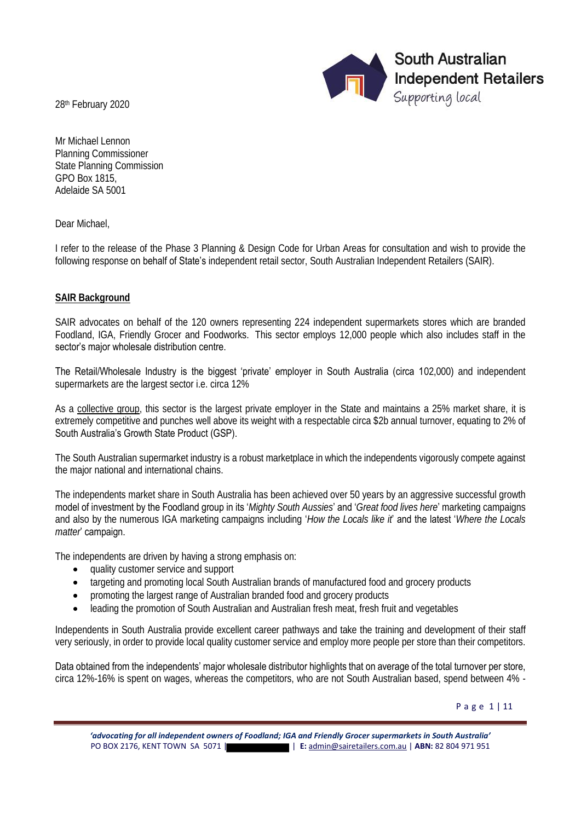28th February 2020



Mr Michael Lennon Planning Commissioner State Planning Commission GPO Box 1815, Adelaide SA 5001

Dear Michael,

I refer to the release of the Phase 3 Planning & Design Code for Urban Areas for consultation and wish to provide the following response on behalf of State's independent retail sector, South Australian Independent Retailers (SAIR).

# **SAIR Background**

SAIR advocates on behalf of the 120 owners representing 224 independent supermarkets stores which are branded Foodland, IGA, Friendly Grocer and Foodworks. This sector employs 12,000 people which also includes staff in the sector's major wholesale distribution centre.

The Retail/Wholesale Industry is the biggest 'private' employer in South Australia (circa 102,000) and independent supermarkets are the largest sector i.e. circa 12%

As a collective group, this sector is the largest private employer in the State and maintains a 25% market share, it is extremely competitive and punches well above its weight with a respectable circa \$2b annual turnover, equating to 2% of South Australia's Growth State Product (GSP).

The South Australian supermarket industry is a robust marketplace in which the independents vigorously compete against the major national and international chains.

The independents market share in South Australia has been achieved over 50 years by an aggressive successful growth model of investment by the Foodland group in its '*Mighty South Aussies*' and '*Great food lives here*' marketing campaigns and also by the numerous IGA marketing campaigns including '*How the Locals like it*' and the latest '*Where the Locals matter*' campaign.

The independents are driven by having a strong emphasis on:

- quality customer service and support
- targeting and promoting local South Australian brands of manufactured food and grocery products
- promoting the largest range of Australian branded food and grocery products
- leading the promotion of South Australian and Australian fresh meat, fresh fruit and vegetables

Independents in South Australia provide excellent career pathways and take the training and development of their staff very seriously, in order to provide local quality customer service and employ more people per store than their competitors.

Data obtained from the independents' major wholesale distributor highlights that on average of the total turnover per store, circa 12%-16% is spent on wages, whereas the competitors, who are not South Australian based, spend between 4% -

P a g e 1 | 11

*'advocating for all independent owners of Foodland; IGA and Friendly Grocer supermarkets in South Australia'*  PO BOX 2176, KENT TOWN SA 5071 | | **E:** [admin@sairetailers.com.au](mailto:admin@sairetailers.com.au) | **ABN:** 82 804 971 951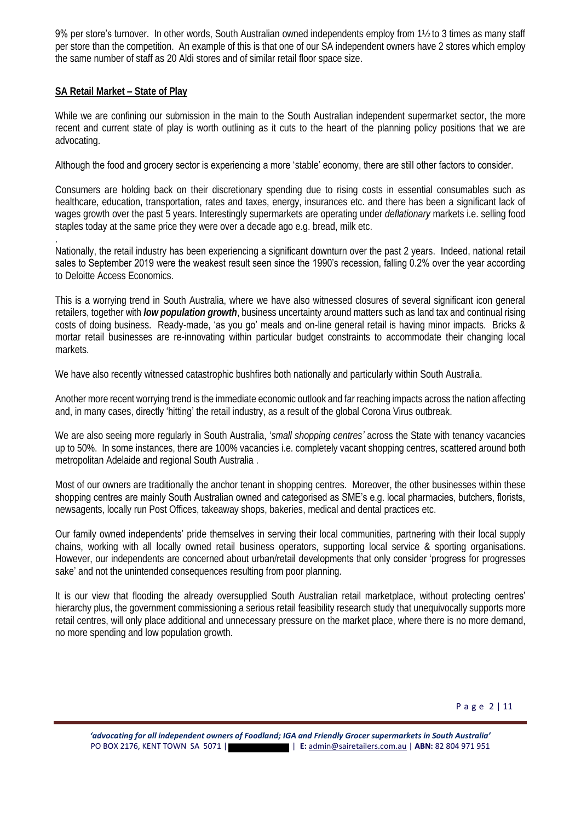9% per store's turnover. In other words, South Australian owned independents employ from 1½ to 3 times as many staff per store than the competition. An example of this is that one of our SA independent owners have 2 stores which employ the same number of staff as 20 Aldi stores and of similar retail floor space size.

# **SA Retail Market – State of Play**

.

While we are confining our submission in the main to the South Australian independent supermarket sector, the more recent and current state of play is worth outlining as it cuts to the heart of the planning policy positions that we are advocating.

# Although the food and grocery sector is experiencing a more 'stable' economy, there are still other factors to consider.

Consumers are holding back on their discretionary spending due to rising costs in essential consumables such as healthcare, education, transportation, rates and taxes, energy, insurances etc. and there has been a significant lack of wages growth over the past 5 years. Interestingly supermarkets are operating under *deflationary* markets i.e. selling food staples today at the same price they were over a decade ago e.g. bread, milk etc.

Nationally, the retail industry has been experiencing a significant downturn over the past 2 years. Indeed, national retail sales to September 2019 were the weakest result seen since the 1990's recession, falling 0.2% over the year according to Deloitte Access Economics.

This is a worrying trend in South Australia, where we have also witnessed closures of several significant icon general retailers, together with *low population growth*, business uncertainty around matters such as land tax and continual rising costs of doing business. Ready-made, 'as you go' meals and on-line general retail is having minor impacts. Bricks & mortar retail businesses are re-innovating within particular budget constraints to accommodate their changing local markets.

We have also recently witnessed catastrophic bushfires both nationally and particularly within South Australia.

Another more recent worrying trend is the immediate economic outlook and far reaching impacts across the nation affecting and, in many cases, **directly 'hitting'** the retail industry, as a result of the global Corona Virus outbreak.

We are also seeing more regularly in South Australia, '*small shopping centres'* across the State with tenancy vacancies up to 50%. In some instances, there are 100% vacancies i.e. completely vacant shopping centres, scattered around both metropolitan Adelaide and regional South Australia .

Most of our owners are traditionally the anchor tenant in shopping centres. Moreover, the other businesses within these shopping centres are mainly South Australian owned and categorised as SME's e.g. local pharmacies, butchers, florists, newsagents, locally run Post Offices, takeaway shops, bakeries, medical and dental practices etc.

Our family owned independents' pride themselves in serving their local communities, partnering with their local supply chains, working with all locally owned retail business operators, supporting local service & sporting organisations. However, our independents are concerned about urban/retail developments that only consider 'progress for progresses sake' and not the unintended consequences resulting from poor planning.

It is our view that flooding the already oversupplied South Australian retail marketplace, without **protecting centres'** hierarchy plus, the government commissioning a serious retail feasibility research study that unequivocally supports more retail centres, will only place additional and unnecessary pressure on the market place, where there is no more demand, no more spending and low population growth.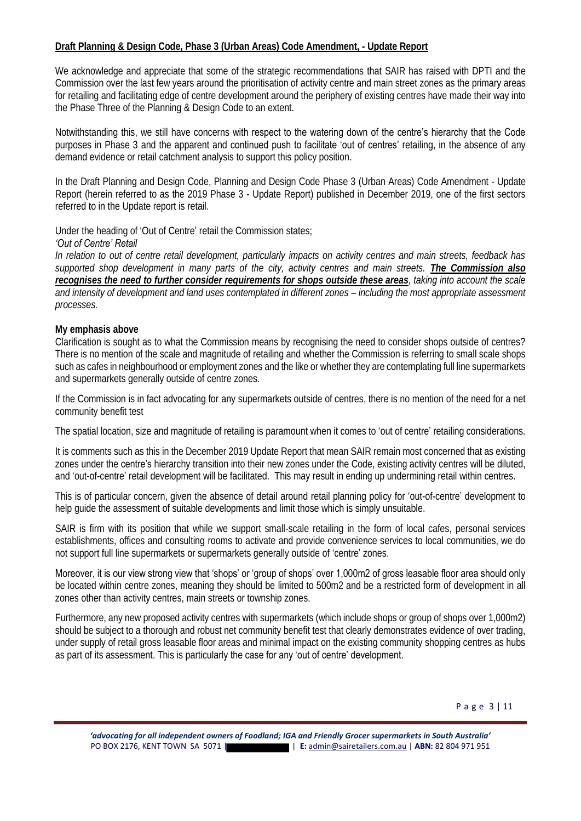# **Draft Planning & Design Code, Phase 3 (Urban Areas) Code Amendment, - Update Report**

We acknowledge and appreciate that some of the strategic recommendations that SAIR has raised with DPTI and the Commission over the last few years around the prioritisation of activity centre and main street zones as the primary areas for retailing and facilitating edge of centre development around the periphery of existing centres have made their way into the Phase Three of the Planning & Design Code to an extent.

Notwithstanding this, we still have concerns with respect to the watering down of the centre's hierarchy that the Code purposes in Phase 3 and the apparent and **continued push to facilitate 'out of centres'** retailing, in the absence of any demand evidence or retail catchment analysis to support this policy position.

In the Draft Planning and Design Code, Planning and Design Code Phase 3 (Urban Areas) Code Amendment - Update Report (herein referred to as the 2019 Phase 3 - Update Report) published in December 2019, one of the first sectors referred to in the Update report is retail.

Under the heading of 'Out of Centre' retail the Commission states;

## *'Out of Centre' Retail*

*In relation to out of centre retail development, particularly impacts on activity centres and main streets, feedback has supported shop development in many parts of the city, activity centres and main streets. The Commission also recognises the need to further consider requirements for shops outside these areas, taking into account the scale*  and intensity of development and land uses contemplated in different zones – including the most appropriate assessment *processes.*

## **My emphasis above**

Clarification is sought as to what the Commission means by recognising the need to consider shops outside of centres? There is no mention of the scale and magnitude of retailing and whether the Commission is referring to small scale shops such as cafes in neighbourhood or employment zones and the like or whether they are contemplating full line supermarkets and supermarkets generally outside of centre zones.

If the Commission is in fact advocating for any supermarkets outside of centres, there is no mention of the need for a net community benefit test

The spatial location, size and magnitude of retailing is paramount when it comes to 'out of centre' retailing considerations.

It is comments such as this in the December 2019 Update Report that mean SAIR remain most concerned that as existing zones under the centre's hierarchy transition into their new zones under the Code, existing activity centres will be diluted, and 'out-of-centre' retail development will be facilitated. This may result in ending up undermining retail within centres.

This is of particular concern, given the absence of detail around retail planning policy for 'out-of-centre' development to help guide the assessment of suitable developments and limit those which is simply unsuitable.

SAIR is firm with its position that while we support small-scale retailing in the form of local cafes, personal services establishments, offices and consulting rooms to activate and provide convenience services to local communities, we do not support full line supermarkets or supermarkets generally outside of 'centre' zones.

Moreover, it is our view strong view that 'shops' or 'group of shops' over 1,000m2 of gross leasable floor area should only be located within centre zones, meaning they should be limited to 500m2 and be a restricted form of development in all zones other than activity centres, main streets or township zones.

Furthermore, any new proposed activity centres with supermarkets (which include shops or group of shops over 1,000m2) should be subject to a thorough and robust net community benefit test that clearly demonstrates evidence of over trading, under supply of retail gross leasable floor areas and minimal impact on the existing community shopping centres as hubs as part of its assessment. This is particularly the case for any 'out of centre' development.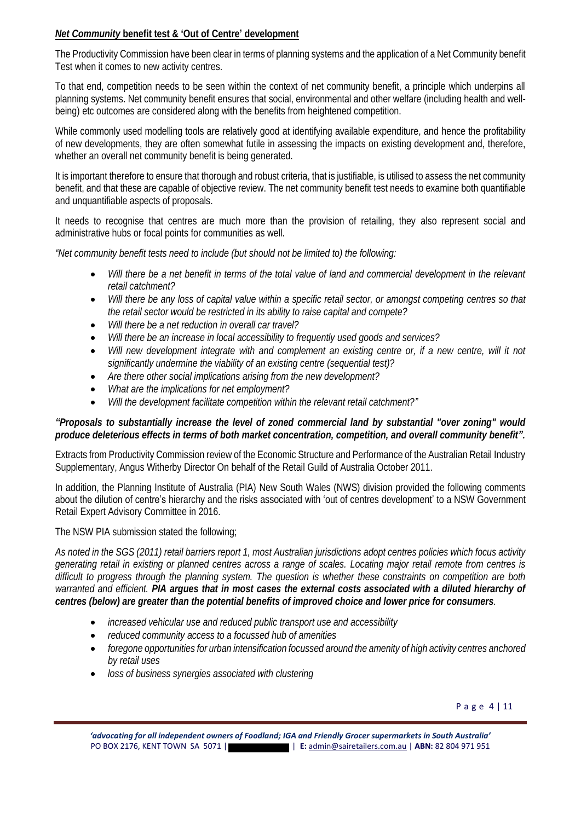# *Net Community* **benefit test & 'Out of Centre' development**

The Productivity Commission have been clear in terms of planning systems and the application of a Net Community benefit Test when it comes to new activity centres.

To that end, competition needs to be seen within the context of net community benefit, a principle which underpins all planning systems. Net community benefit ensures that social, environmental and other welfare (including health and wellbeing) etc outcomes are considered along with the benefits from heightened competition.

While commonly used modelling tools are relatively good at identifying available expenditure, and hence the profitability of new developments, they are often somewhat futile in assessing the impacts on existing development and, therefore, whether an overall net community benefit is being generated.

It is important therefore to ensure that thorough and robust criteria, that is justifiable, is utilised to assess the net community benefit, and that these are capable of objective review. The net community benefit test needs to examine both quantifiable and unquantifiable aspects of proposals.

It needs to recognise that centres are much more than the provision of retailing, they also represent social and administrative hubs or focal points for communities as well.

*"Net community benefit tests need to include (but should not be limited to) the following:* 

- *Will there be a net benefit in terms of the total value of land and commercial development in the relevant retail catchment?*
- *Will there be any loss of capital value within a specific retail sector, or amongst competing centres so that the retail sector would be restricted in its ability to raise capital and compete?*
- *Will there be a net reduction in overall car travel?*
- *Will there be an increase in local accessibility to frequently used goods and services?*
- *Will new development integrate with and complement an existing centre or, if a new centre, will it not significantly undermine the viability of an existing centre (sequential test)?*
- *Are there other social implications arising from the new development?*
- *What are the implications for net employment?*
- *Will the development facilitate competition within the relevant retail catchment?"*

*"Proposals to substantially increase the level of zoned commercial land by substantial "over zoning" would produce deleterious effects in terms of both market concentration, competition, and overall community benefit".* 

Extracts from Productivity Commission review of the Economic Structure and Performance of the Australian Retail Industry Supplementary, Angus Witherby Director On behalf of the Retail Guild of Australia October 2011.

In addition, the Planning Institute of Australia (PIA) New South Wales (NWS) division provided the following comments about the dilution of centre's hierarchy and the risks associated with 'out of centres development' to a NSW Government Retail Expert Advisory Committee in 2016.

The NSW PIA submission stated the following;

*As noted in the SGS (2011) retail barriers report 1, most Australian jurisdictions adopt centres policies which focus activity generating retail in existing or planned centres across a range of scales. Locating major retail remote from centres is difficult to progress through the planning system. The question is whether these constraints on competition are both warranted and efficient. PIA argues that in most cases the external costs associated with a diluted hierarchy of centres (below) are greater than the potential benefits of improved choice and lower price for consumers.* 

- *increased vehicular use and reduced public transport use and accessibility*
- *reduced community access to a focussed hub of amenities*
- *foregone opportunities for urban intensification focussed around the amenity of high activity centres anchored by retail uses*
- *loss of business synergies associated with clustering*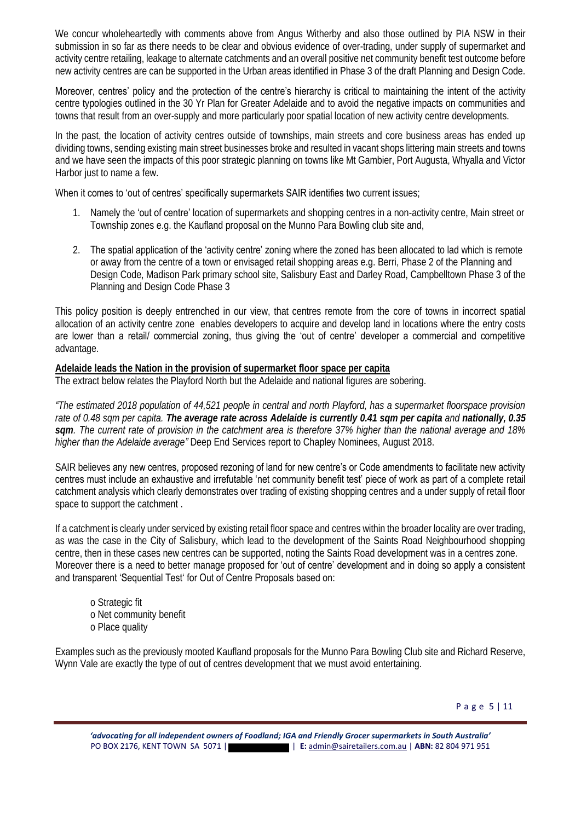We concur wholeheartedly with comments above from Angus Witherby and also those outlined by PIA NSW in their submission in so far as there needs to be clear and obvious evidence of over-trading, under supply of supermarket and activity centre retailing, leakage to alternate catchments and an overall positive net community benefit test outcome before new activity centres are can be supported in the Urban areas identified in Phase 3 of the draft Planning and Design Code.

Moreover, centres' policy and the protection of the centre's hierarchy is critical to maintaining the intent of the activity centre typologies outlined in the 30 Yr Plan for Greater Adelaide and to avoid the negative impacts on communities and towns that result from an over-supply and more particularly poor spatial location of new activity centre developments.

In the past, the location of activity centres outside of townships, main streets and core business areas has ended up dividing towns, sending existing main street businesses broke and resulted in vacant shops littering main streets and towns and we have seen the impacts of this poor strategic planning on towns like Mt Gambier, Port Augusta, Whyalla and Victor Harbor just to name a few.

When it comes to 'out of centres' specifically supermarkets SAIR identifies two current issues;

- 1. Namely the 'out of centre' location of supermarkets and shopping centres in a non-activity centre. Main street or Township zones e.g. the Kaufland proposal on the Munno Para Bowling club site and,
- 2. The spatial application of the 'activity centre' zoning where the zoned has been allocated to lad which is remote or away from the centre of a town or envisaged retail shopping areas e.g. Berri, Phase 2 of the Planning and Design Code, Madison Park primary school site, Salisbury East and Darley Road, Campbelltown Phase 3 of the Planning and Design Code Phase 3

This policy position is deeply entrenched in our view, that centres remote from the core of towns in incorrect spatial allocation of an activity centre zone enables developers to acquire and develop land in locations where the entry costs are lower than a retail/ commercial zoning, thus giving the 'out of centre' developer a commercial and competitive advantage.

**Adelaide leads the Nation in the provision of supermarket floor space per capita** The extract below relates the Playford North but the Adelaide and national figures are sobering.

*"The estimated 2018 population of 44,521 people in central and north Playford, has a supermarket floorspace provision rate of 0.48 sqm per capita. The average rate across Adelaide is currently 0.41 sqm per capita and nationally, 0.35 sqm. The current rate of provision in the catchment area is therefore 37% higher than the national average and 18% higher than the Adelaide average"* Deep End Services report to Chapley Nominees, August 2018.

SAIR believes any new centres, proposed rezoning of land for new centre's or Code amendments to facilitate new activity centres must include an exhaustive and irrefutable 'net community benefit test' piece of work as part of a complete retail catchment analysis which clearly demonstrates over trading of existing shopping centres and a under supply of retail floor space to support the catchment .

If a catchment is clearly under serviced by existing retail floor space and centres within the broader locality are over trading, as was the case in the City of Salisbury, which lead to the development of the Saints Road Neighbourhood shopping centre, then in these cases new centres can be supported, noting the Saints Road development was in a centres zone. Moreover there is a need to better manage proposed for 'out of centre' development and in doing so apply a consistent and transparent 'Sequential Test' for Out of Centre Proposals based on:

o Strategic fit o Net community benefit o Place quality

Examples such as the previously mooted Kaufland proposals for the Munno Para Bowling Club site and Richard Reserve, Wynn Vale are exactly the type of out of centres development that we must avoid entertaining.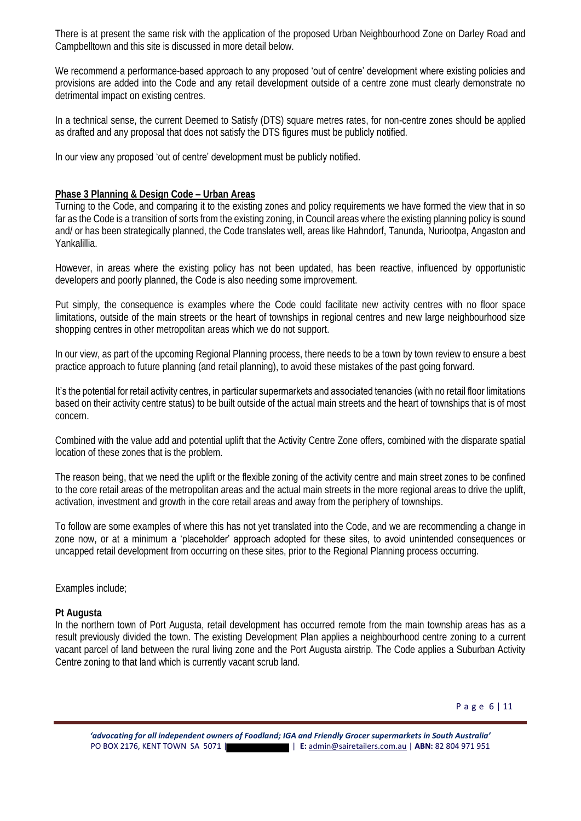There is at present the same risk with the application of the proposed Urban Neighbourhood Zone on Darley Road and Campbelltown and this site is discussed in more detail below.

We recommend a performance-based approach to any proposed 'out of centre' development where existing policies and provisions are added into the Code and any retail development outside of a centre zone must clearly demonstrate no detrimental impact on existing centres.

In a technical sense, the current Deemed to Satisfy (DTS) square metres rates, for non-centre zones should be applied as drafted and any proposal that does not satisfy the DTS figures must be publicly notified.

#### In our view any proposed 'out of centre' development must be publicly notified.

#### **Phase 3 Planning & Design Code – Urban Areas**

Turning to the Code, and comparing it to the existing zones and policy requirements we have formed the view that in so far as the Code is a transition of sorts from the existing zoning, in Council areas where the existing planning policy is sound and/ or has been strategically planned, the Code translates well, areas like Hahndorf, Tanunda, Nuriootpa, Angaston and Yankalillia.

However, in areas where the existing policy has not been updated, has been reactive, influenced by opportunistic developers and poorly planned, the Code is also needing some improvement.

Put simply, the consequence is examples where the Code could facilitate new activity centres with no floor space limitations, outside of the main streets or the heart of townships in regional centres and new large neighbourhood size shopping centres in other metropolitan areas which we do not support.

In our view, as part of the upcoming Regional Planning process, there needs to be a town by town review to ensure a best practice approach to future planning (and retail planning), to avoid these mistakes of the past going forward.

It's the potential for retail activity centres, in particular supermarkets and associated tenancies (with no retail floor limitations based on their activity centre status) to be built outside of the actual main streets and the heart of townships that is of most concern.

Combined with the value add and potential uplift that the Activity Centre Zone offers, combined with the disparate spatial location of these zones that is the problem.

The reason being, that we need the uplift or the flexible zoning of the activity centre and main street zones to be confined to the core retail areas of the metropolitan areas and the actual main streets in the more regional areas to drive the uplift, activation, investment and growth in the core retail areas and away from the periphery of townships.

To follow are some examples of where this has not yet translated into the Code, and we are recommending a change in zone now, or at a minimum a 'placeholder' approach adopted for these sites, to avoid unintended consequences or uncapped retail development from occurring on these sites, prior to the Regional Planning process occurring.

#### Examples include;

#### **Pt Augusta**

In the northern town of Port Augusta, retail development has occurred remote from the main township areas has as a result previously divided the town. The existing Development Plan applies a neighbourhood centre zoning to a current vacant parcel of land between the rural living zone and the Port Augusta airstrip. The Code applies a Suburban Activity Centre zoning to that land which is currently vacant scrub land.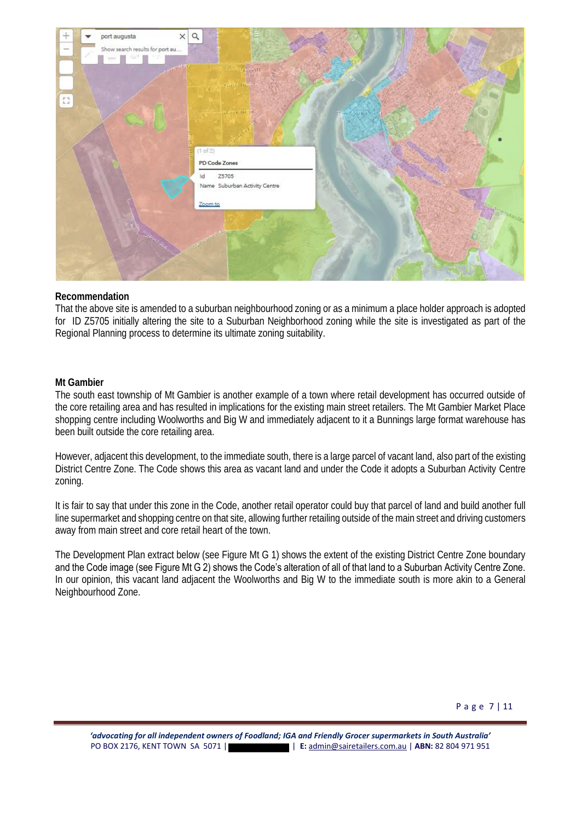

## **Recommendation**

That the above site is amended to a suburban neighbourhood zoning or as a minimum a place holder approach is adopted for ID Z5705 initially altering the site to a Suburban Neighborhood zoning while the site is investigated as part of the Regional Planning process to determine its ultimate zoning suitability.

#### **Mt Gambier**

The south east township of Mt Gambier is another example of a town where retail development has occurred outside of the core retailing area and has resulted in implications for the existing main street retailers. The Mt Gambier Market Place shopping centre including Woolworths and Big W and immediately adjacent to it a Bunnings large format warehouse has been built outside the core retailing area.

However, adjacent this development, to the immediate south, there is a large parcel of vacant land, also part of the existing District Centre Zone. The Code shows this area as vacant land and under the Code it adopts a Suburban Activity Centre zoning.

It is fair to say that under this zone in the Code, another retail operator could buy that parcel of land and build another full line supermarket and shopping centre on that site, allowing further retailing outside of the main street and driving customers away from main street and core retail heart of the town.

The Development Plan extract below (see Figure Mt G 1) shows the extent of the existing District Centre Zone boundary and the Code image (see Figure Mt G 2) shows the Code's alteration of all of that land to a Suburban Activity Centre Zone. In our opinion, this vacant land adjacent the Woolworths and Big W to the immediate south is more akin to a General Neighbourhood Zone.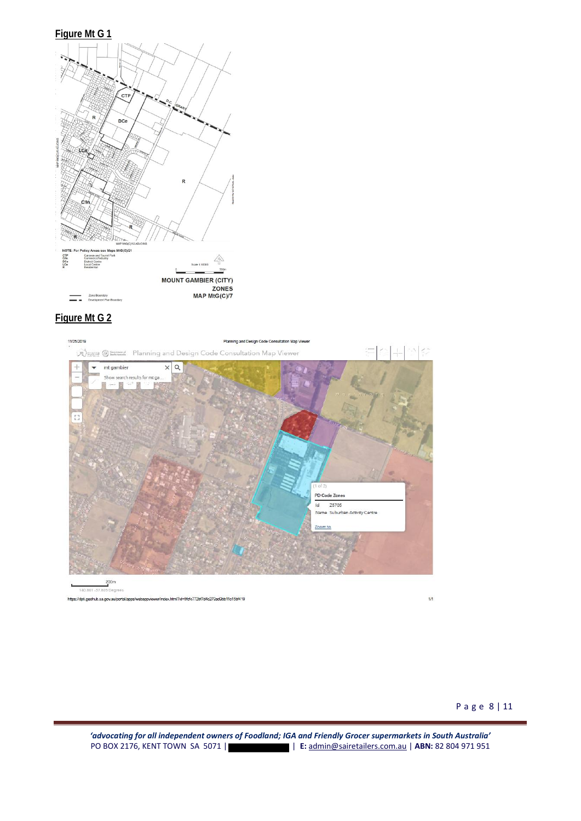





eohub.sa.go ex.html?id=5fcfc772bf7d4c279ad9bb11c15bf419

 $1/1$ 

*'advocating for all independent owners of Foodland; IGA and Friendly Grocer supermarkets in South Australia'*  PO BOX 2176, KENT TOWN SA 5071 | | **E:** [admin@sairetailers.com.au](mailto:admin@sairetailers.com.au) | **ABN:** 82 804 971 951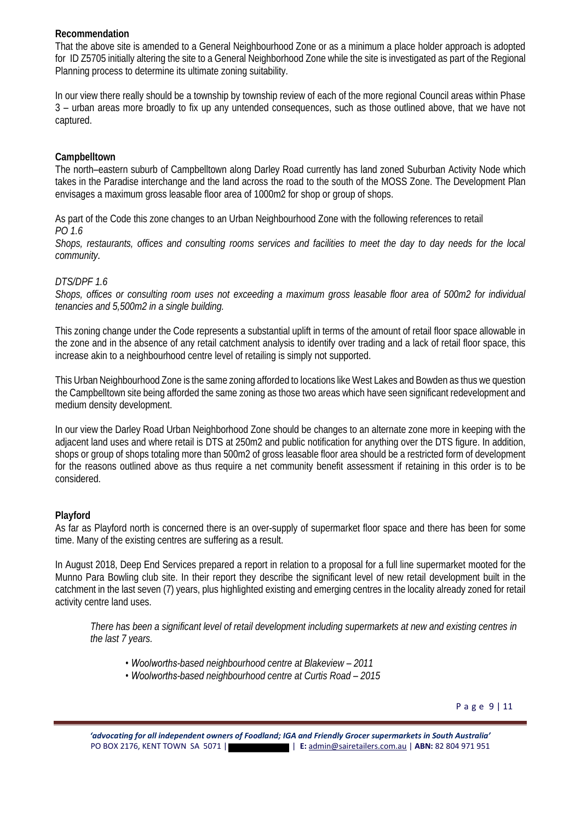# **Recommendation**

That the above site is amended to a General Neighbourhood Zone or as a minimum a place holder approach is adopted for ID Z5705 initially altering the site to a General Neighborhood Zone while the site is investigated as part of the Regional Planning process to determine its ultimate zoning suitability.

In our view there really should be a township by township review of each of the more regional Council areas within Phase 3 – urban areas more broadly to fix up any untended consequences, such as those outlined above, that we have not captured.

## **Campbelltown**

The north–eastern suburb of Campbelltown along Darley Road currently has land zoned Suburban Activity Node which takes in the Paradise interchange and the land across the road to the south of the MOSS Zone. The Development Plan envisages a maximum gross leasable floor area of 1000m2 for shop or group of shops.

As part of the Code this zone changes to an Urban Neighbourhood Zone with the following references to retail *PO 1.6* 

*Shops, restaurants, offices and consulting rooms services and facilities to meet the day to day needs for the local community.* 

## *DTS/DPF 1.6*

*Shops, offices or consulting room uses not exceeding a maximum gross leasable floor area of 500m2 for individual tenancies and 5,500m2 in a single building.*

This zoning change under the Code represents a substantial uplift in terms of the amount of retail floor space allowable in the zone and in the absence of any retail catchment analysis to identify over trading and a lack of retail floor space, this increase akin to a neighbourhood centre level of retailing is simply not supported.

This Urban Neighbourhood Zone is the same zoning afforded to locations like West Lakes and Bowden as thus we question the Campbelltown site being afforded the same zoning as those two areas which have seen significant redevelopment and medium density development.

In our view the Darley Road Urban Neighborhood Zone should be changes to an alternate zone more in keeping with the adjacent land uses and where retail is DTS at 250m2 and public notification for anything over the DTS figure. In addition, shops or group of shops totaling more than 500m2 of gross leasable floor area should be a restricted form of development for the reasons outlined above as thus require a net community benefit assessment if retaining in this order is to be considered.

# **Playford**

As far as Playford north is concerned there is an over-supply of supermarket floor space and there has been for some time. Many of the existing centres are suffering as a result.

In August 2018, Deep End Services prepared a report in relation to a proposal for a full line supermarket mooted for the Munno Para Bowling club site. In their report they describe the significant level of new retail development built in the catchment in the last seven (7) years, plus highlighted existing and emerging centres in the locality already zoned for retail activity centre land uses.

*There has been a significant level of retail development including supermarkets at new and existing centres in the last 7 years.*

- *Woolworths-based neighbourhood centre at Blakeview – 2011*
- *Woolworths-based neighbourhood centre at Curtis Road – 2015*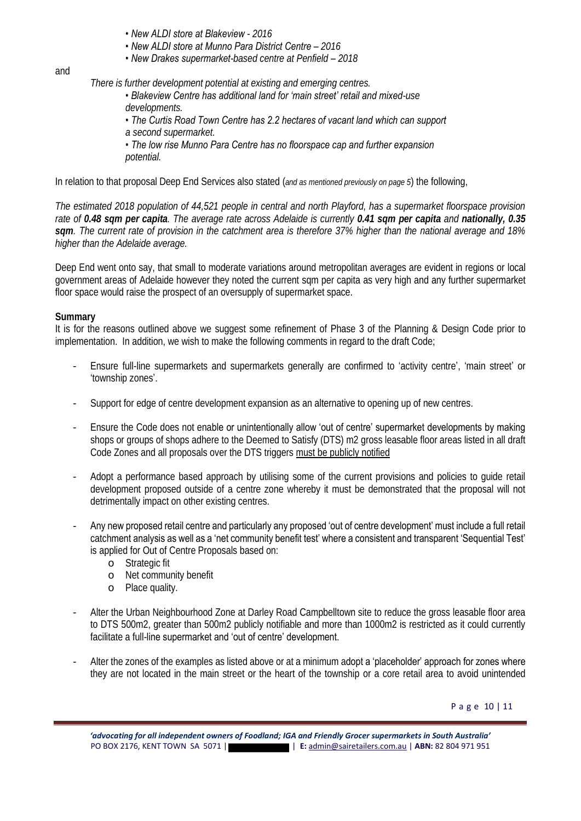- *New ALDI store at Blakeview - 2016*
- *New ALDI store at Munno Para District Centre – 2016*
- *New Drakes supermarket-based centre at Penfield – 2018*

#### and

*There is further development potential at existing and emerging centres.*

- *Blakeview Centre has additional land for 'main street' retail and mixed-use developments.*
- *The Curtis Road Town Centre has 2.2 hectares of vacant land which can support*
- *a second supermarket.*
- *The low rise Munno Para Centre has no floorspace cap and further expansion potential.*

In relation to that proposal Deep End Services also stated (*and as mentioned previously on page 5*) the following,

*The estimated 2018 population of 44,521 people in central and north Playford, has a supermarket floorspace provision rate of 0.48 sqm per capita. The average rate across Adelaide is currently 0.41 sqm per capita and nationally, 0.35 sqm. The current rate of provision in the catchment area is therefore 37% higher than the national average and 18% higher than the Adelaide average.*

Deep End went onto say, that small to moderate variations around metropolitan averages are evident in regions or local government areas of Adelaide however they noted the current sqm per capita as very high and any further supermarket floor space would raise the prospect of an oversupply of supermarket space.

## **Summary**

It is for the reasons outlined above we suggest some refinement of Phase 3 of the Planning & Design Code prior to implementation. In addition, we wish to make the following comments in regard to the draft Code;

- Ensure full-line supermarkets and supermarkets generally are confirmed to 'activity centre', 'main street' or 'township zones'.
- Support for edge of centre development expansion as an alternative to opening up of new centres.
- Ensure the Code does not enable or unintentionally allow 'out of centre' supermarket developments by making shops or groups of shops adhere to the Deemed to Satisfy (DTS) m2 gross leasable floor areas listed in all draft Code Zones and all proposals over the DTS triggers must be publicly notified
- Adopt a performance based approach by utilising some of the current provisions and policies to guide retail development proposed outside of a centre zone whereby it must be demonstrated that the proposal will not detrimentally impact on other existing centres.
- Any new proposed retail centre and particularly any proposed 'out of centre development' must include a full retail catchment analysis as well as a 'net community benefit test' where a consistent and transparent 'Sequential Test' is applied for Out of Centre Proposals based on:
	- o Strategic fit
	- o Net community benefit
	- o Place quality.
- Alter the Urban Neighbourhood Zone at Darley Road Campbelltown site to reduce the gross leasable floor area to DTS 500m2, greater than 500m2 publicly notifiable and more than 1000m2 is restricted as it could currently facilitate a full-line supermarket and 'out of centre' development.
- Alter the zones of the examples as listed above or at a minimum adopt a 'placeholder' approach for zones where they are not located in the main street or the heart of the township or a core retail area to avoid unintended

P a g e 10 | 11